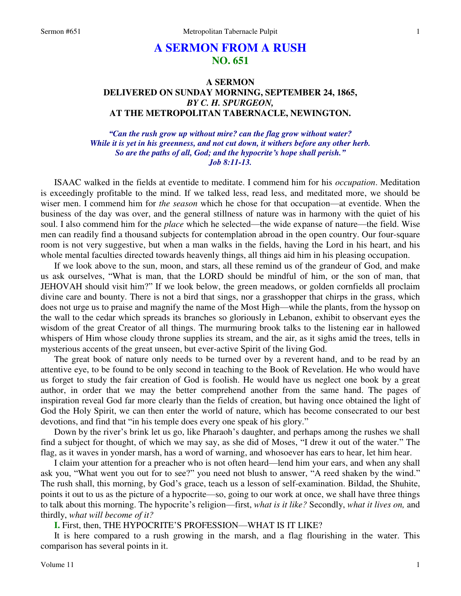## **A SERMON FROM A RUSH NO. 651**

## **A SERMON DELIVERED ON SUNDAY MORNING, SEPTEMBER 24, 1865,**  *BY C. H. SPURGEON,*  **AT THE METROPOLITAN TABERNACLE, NEWINGTON.**

*"Can the rush grow up without mire? can the flag grow without water? While it is yet in his greenness, and not cut down, it withers before any other herb. So are the paths of all, God; and the hypocrite's hope shall perish." Job 8:11-13.* 

ISAAC walked in the fields at eventide to meditate. I commend him for his *occupation*. Meditation is exceedingly profitable to the mind. If we talked less, read less, and meditated more, we should be wiser men. I commend him for *the season* which he chose for that occupation—at eventide. When the business of the day was over, and the general stillness of nature was in harmony with the quiet of his soul. I also commend him for the *place* which he selected—the wide expanse of nature—the field. Wise men can readily find a thousand subjects for contemplation abroad in the open country. Our four-square room is not very suggestive, but when a man walks in the fields, having the Lord in his heart, and his whole mental faculties directed towards heavenly things, all things aid him in his pleasing occupation.

 If we look above to the sun, moon, and stars, all these remind us of the grandeur of God, and make us ask ourselves, "What is man, that the LORD should be mindful of him, or the son of man, that JEHOVAH should visit him?" If we look below, the green meadows, or golden cornfields all proclaim divine care and bounty. There is not a bird that sings, nor a grasshopper that chirps in the grass, which does not urge us to praise and magnify the name of the Most High—while the plants, from the hyssop on the wall to the cedar which spreads its branches so gloriously in Lebanon, exhibit to observant eyes the wisdom of the great Creator of all things. The murmuring brook talks to the listening ear in hallowed whispers of Him whose cloudy throne supplies its stream, and the air, as it sighs amid the trees, tells in mysterious accents of the great unseen, but ever-active Spirit of the living God.

 The great book of nature only needs to be turned over by a reverent hand, and to be read by an attentive eye, to be found to be only second in teaching to the Book of Revelation. He who would have us forget to study the fair creation of God is foolish. He would have us neglect one book by a great author, in order that we may the better comprehend another from the same hand. The pages of inspiration reveal God far more clearly than the fields of creation, but having once obtained the light of God the Holy Spirit, we can then enter the world of nature, which has become consecrated to our best devotions, and find that "in his temple does every one speak of his glory."

 Down by the river's brink let us go, like Pharaoh's daughter, and perhaps among the rushes we shall find a subject for thought, of which we may say, as she did of Moses, "I drew it out of the water." The flag, as it waves in yonder marsh, has a word of warning, and whosoever has ears to hear, let him hear.

 I claim your attention for a preacher who is not often heard—lend him your ears, and when any shall ask you, "What went you out for to see?" you need not blush to answer, "A reed shaken by the wind." The rush shall, this morning, by God's grace, teach us a lesson of self-examination. Bildad, the Shuhite, points it out to us as the picture of a hypocrite—so, going to our work at once, we shall have three things to talk about this morning. The hypocrite's religion—first, *what is it like?* Secondly, *what it lives on,* and thirdly, *what will become of it?*

**I.** First, then, THE HYPOCRITE'S PROFESSION—WHAT IS IT LIKE?

 It is here compared to a rush growing in the marsh, and a flag flourishing in the water. This comparison has several points in it.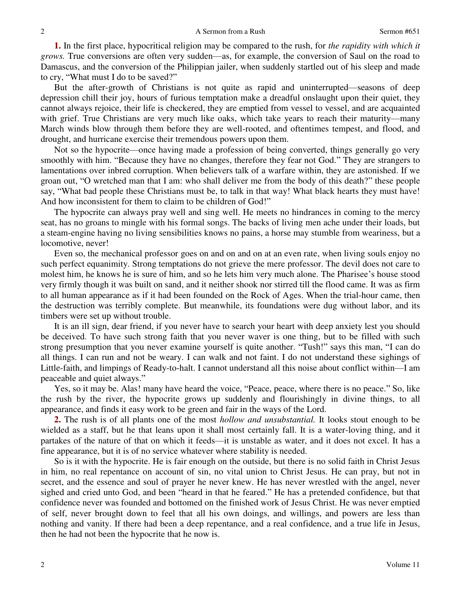**1.** In the first place, hypocritical religion may be compared to the rush, for *the rapidity with which it grows.* True conversions are often very sudden—as, for example, the conversion of Saul on the road to Damascus, and the conversion of the Philippian jailer, when suddenly startled out of his sleep and made to cry, "What must I do to be saved?"

 But the after-growth of Christians is not quite as rapid and uninterrupted—seasons of deep depression chill their joy, hours of furious temptation make a dreadful onslaught upon their quiet, they cannot always rejoice, their life is checkered, they are emptied from vessel to vessel, and are acquainted with grief. True Christians are very much like oaks, which take years to reach their maturity—many March winds blow through them before they are well-rooted, and oftentimes tempest, and flood, and drought, and hurricane exercise their tremendous powers upon them.

 Not so the hypocrite—once having made a profession of being converted, things generally go very smoothly with him. "Because they have no changes, therefore they fear not God." They are strangers to lamentations over inbred corruption. When believers talk of a warfare within, they are astonished. If we groan out, "O wretched man that I am: who shall deliver me from the body of this death?" these people say, "What bad people these Christians must be, to talk in that way! What black hearts they must have! And how inconsistent for them to claim to be children of God!"

 The hypocrite can always pray well and sing well. He meets no hindrances in coming to the mercy seat, has no groans to mingle with his formal songs. The backs of living men ache under their loads, but a steam-engine having no living sensibilities knows no pains, a horse may stumble from weariness, but a locomotive, never!

 Even so, the mechanical professor goes on and on and on at an even rate, when living souls enjoy no such perfect equanimity. Strong temptations do not grieve the mere professor. The devil does not care to molest him, he knows he is sure of him, and so he lets him very much alone. The Pharisee's house stood very firmly though it was built on sand, and it neither shook nor stirred till the flood came. It was as firm to all human appearance as if it had been founded on the Rock of Ages. When the trial-hour came, then the destruction was terribly complete. But meanwhile, its foundations were dug without labor, and its timbers were set up without trouble.

 It is an ill sign, dear friend, if you never have to search your heart with deep anxiety lest you should be deceived. To have such strong faith that you never waver is one thing, but to be filled with such strong presumption that you never examine yourself is quite another. "Tush!" says this man, "I can do all things. I can run and not be weary. I can walk and not faint. I do not understand these sighings of Little-faith, and limpings of Ready-to-halt. I cannot understand all this noise about conflict within—I am peaceable and quiet always."

 Yes, so it may be. Alas! many have heard the voice, "Peace, peace, where there is no peace." So, like the rush by the river, the hypocrite grows up suddenly and flourishingly in divine things, to all appearance, and finds it easy work to be green and fair in the ways of the Lord.

**2.** The rush is of all plants one of the most *hollow and unsubstantial.* It looks stout enough to be wielded as a staff, but he that leans upon it shall most certainly fall. It is a water-loving thing, and it partakes of the nature of that on which it feeds—it is unstable as water, and it does not excel. It has a fine appearance, but it is of no service whatever where stability is needed.

 So is it with the hypocrite. He is fair enough on the outside, but there is no solid faith in Christ Jesus in him, no real repentance on account of sin, no vital union to Christ Jesus. He can pray, but not in secret, and the essence and soul of prayer he never knew. He has never wrestled with the angel, never sighed and cried unto God, and been "heard in that he feared." He has a pretended confidence, but that confidence never was founded and bottomed on the finished work of Jesus Christ. He was never emptied of self, never brought down to feel that all his own doings, and willings, and powers are less than nothing and vanity. If there had been a deep repentance, and a real confidence, and a true life in Jesus, then he had not been the hypocrite that he now is.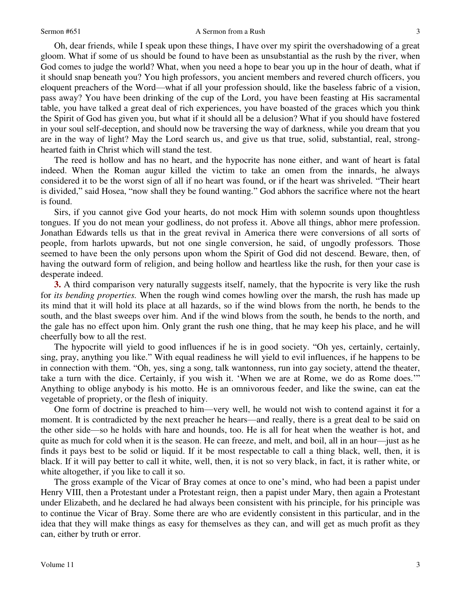## Sermon #651 A Sermon from a Rush

 Oh, dear friends, while I speak upon these things, I have over my spirit the overshadowing of a great gloom. What if some of us should be found to have been as unsubstantial as the rush by the river, when God comes to judge the world? What, when you need a hope to bear you up in the hour of death, what if it should snap beneath you? You high professors, you ancient members and revered church officers, you eloquent preachers of the Word—what if all your profession should, like the baseless fabric of a vision, pass away? You have been drinking of the cup of the Lord, you have been feasting at His sacramental table, you have talked a great deal of rich experiences, you have boasted of the graces which you think the Spirit of God has given you, but what if it should all be a delusion? What if you should have fostered in your soul self-deception, and should now be traversing the way of darkness, while you dream that you are in the way of light? May the Lord search us, and give us that true, solid, substantial, real, stronghearted faith in Christ which will stand the test.

 The reed is hollow and has no heart, and the hypocrite has none either, and want of heart is fatal indeed. When the Roman augur killed the victim to take an omen from the innards, he always considered it to be the worst sign of all if no heart was found, or if the heart was shriveled. "Their heart is divided," said Hosea, "now shall they be found wanting." God abhors the sacrifice where not the heart is found.

 Sirs, if you cannot give God your hearts, do not mock Him with solemn sounds upon thoughtless tongues. If you do not mean your godliness, do not profess it. Above all things, abhor mere profession. Jonathan Edwards tells us that in the great revival in America there were conversions of all sorts of people, from harlots upwards, but not one single conversion, he said, of ungodly professors*.* Those seemed to have been the only persons upon whom the Spirit of God did not descend. Beware, then, of having the outward form of religion, and being hollow and heartless like the rush, for then your case is desperate indeed.

**3.** A third comparison very naturally suggests itself, namely, that the hypocrite is very like the rush for *its bending properties.* When the rough wind comes howling over the marsh, the rush has made up its mind that it will hold its place at all hazards, so if the wind blows from the north, he bends to the south, and the blast sweeps over him. And if the wind blows from the south, he bends to the north, and the gale has no effect upon him. Only grant the rush one thing, that he may keep his place, and he will cheerfully bow to all the rest.

 The hypocrite will yield to good influences if he is in good society. "Oh yes, certainly, certainly, sing, pray, anything you like." With equal readiness he will yield to evil influences, if he happens to be in connection with them. "Oh, yes, sing a song, talk wantonness, run into gay society, attend the theater, take a turn with the dice. Certainly, if you wish it. 'When we are at Rome, we do as Rome does.'" Anything to oblige anybody is his motto. He is an omnivorous feeder, and like the swine, can eat the vegetable of propriety, or the flesh of iniquity.

 One form of doctrine is preached to him—very well, he would not wish to contend against it for a moment. It is contradicted by the next preacher he hears—and really, there is a great deal to be said on the other side—so he holds with hare and hounds, too. He is all for heat when the weather is hot, and quite as much for cold when it is the season. He can freeze, and melt, and boil, all in an hour—just as he finds it pays best to be solid or liquid. If it be most respectable to call a thing black, well, then, it is black. If it will pay better to call it white, well, then, it is not so very black, in fact, it is rather white, or white altogether, if you like to call it so.

 The gross example of the Vicar of Bray comes at once to one's mind, who had been a papist under Henry VIII, then a Protestant under a Protestant reign, then a papist under Mary, then again a Protestant under Elizabeth, and he declared he had always been consistent with his principle, for his principle was to continue the Vicar of Bray. Some there are who are evidently consistent in this particular, and in the idea that they will make things as easy for themselves as they can, and will get as much profit as they can, either by truth or error.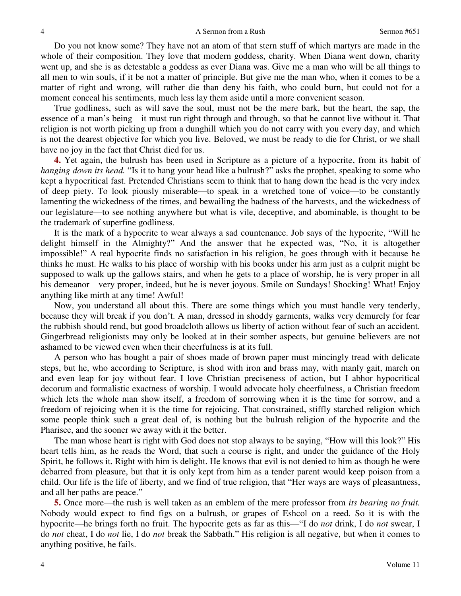Do you not know some? They have not an atom of that stern stuff of which martyrs are made in the whole of their composition. They love that modern goddess, charity. When Diana went down, charity went up, and she is as detestable a goddess as ever Diana was. Give me a man who will be all things to all men to win souls, if it be not a matter of principle. But give me the man who, when it comes to be a matter of right and wrong, will rather die than deny his faith, who could burn, but could not for a moment conceal his sentiments, much less lay them aside until a more convenient season.

 True godliness, such as will save the soul, must not be the mere bark, but the heart, the sap, the essence of a man's being—it must run right through and through, so that he cannot live without it. That religion is not worth picking up from a dunghill which you do not carry with you every day, and which is not the dearest objective for which you live. Beloved, we must be ready to die for Christ, or we shall have no joy in the fact that Christ died for us.

**4.** Yet again, the bulrush has been used in Scripture as a picture of a hypocrite, from its habit of *hanging down its head.* "Is it to hang your head like a bulrush?" asks the prophet, speaking to some who kept a hypocritical fast. Pretended Christians seem to think that to hang down the head is the very index of deep piety. To look piously miserable—to speak in a wretched tone of voice—to be constantly lamenting the wickedness of the times, and bewailing the badness of the harvests, and the wickedness of our legislature—to see nothing anywhere but what is vile, deceptive, and abominable, is thought to be the trademark of superfine godliness.

 It is the mark of a hypocrite to wear always a sad countenance. Job says of the hypocrite, "Will he delight himself in the Almighty?" And the answer that he expected was, "No, it is altogether impossible!" A real hypocrite finds no satisfaction in his religion, he goes through with it because he thinks he must. He walks to his place of worship with his books under his arm just as a culprit might be supposed to walk up the gallows stairs, and when he gets to a place of worship, he is very proper in all his demeanor—very proper, indeed, but he is never joyous. Smile on Sundays! Shocking! What! Enjoy anything like mirth at any time! Awful!

 Now, you understand all about this. There are some things which you must handle very tenderly, because they will break if you don't. A man, dressed in shoddy garments, walks very demurely for fear the rubbish should rend, but good broadcloth allows us liberty of action without fear of such an accident. Gingerbread religionists may only be looked at in their somber aspects, but genuine believers are not ashamed to be viewed even when their cheerfulness is at its full.

 A person who has bought a pair of shoes made of brown paper must mincingly tread with delicate steps, but he, who according to Scripture, is shod with iron and brass may, with manly gait, march on and even leap for joy without fear. I love Christian preciseness of action, but I abhor hypocritical decorum and formalistic exactness of worship. I would advocate holy cheerfulness, a Christian freedom which lets the whole man show itself, a freedom of sorrowing when it is the time for sorrow, and a freedom of rejoicing when it is the time for rejoicing. That constrained, stiffly starched religion which some people think such a great deal of, is nothing but the bulrush religion of the hypocrite and the Pharisee, and the sooner we away with it the better.

 The man whose heart is right with God does not stop always to be saying, "How will this look?" His heart tells him, as he reads the Word, that such a course is right, and under the guidance of the Holy Spirit, he follows it. Right with him is delight. He knows that evil is not denied to him as though he were debarred from pleasure, but that it is only kept from him as a tender parent would keep poison from a child. Our life is the life of liberty, and we find of true religion, that "Her ways are ways of pleasantness, and all her paths are peace."

**5.** Once more—the rush is well taken as an emblem of the mere professor from *its bearing no fruit.* Nobody would expect to find figs on a bulrush, or grapes of Eshcol on a reed. So it is with the hypocrite—he brings forth no fruit. The hypocrite gets as far as this—"I do *not* drink, I do *not* swear, I do *not* cheat, I do *not* lie, I do *not* break the Sabbath." His religion is all negative, but when it comes to anything positive, he fails.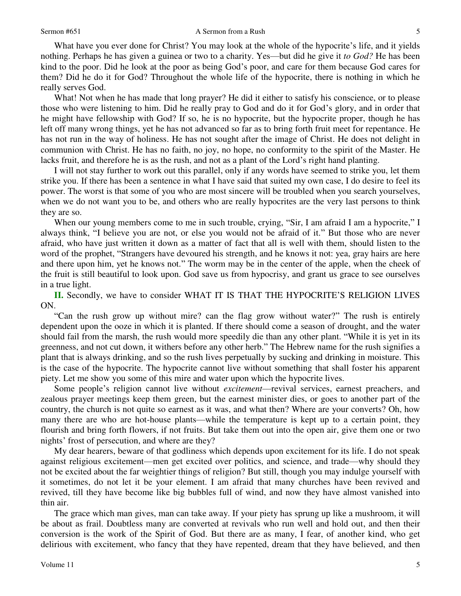What have you ever done for Christ? You may look at the whole of the hypocrite's life, and it yields nothing. Perhaps he has given a guinea or two to a charity. Yes—but did he give it *to God?* He has been kind to the poor. Did he look at the poor as being God's poor, and care for them because God cares for them? Did he do it for God? Throughout the whole life of the hypocrite, there is nothing in which he really serves God.

What! Not when he has made that long prayer? He did it either to satisfy his conscience, or to please those who were listening to him. Did he really pray to God and do it for God's glory, and in order that he might have fellowship with God? If so, he is no hypocrite, but the hypocrite proper, though he has left off many wrong things, yet he has not advanced so far as to bring forth fruit meet for repentance. He has not run in the way of holiness. He has not sought after the image of Christ. He does not delight in communion with Christ. He has no faith, no joy, no hope, no conformity to the spirit of the Master. He lacks fruit, and therefore he is as the rush, and not as a plant of the Lord's right hand planting.

 I will not stay further to work out this parallel, only if any words have seemed to strike you, let them strike you. If there has been a sentence in what I have said that suited my own case, I do desire to feel its power. The worst is that some of you who are most sincere will be troubled when you search yourselves, when we do not want you to be, and others who are really hypocrites are the very last persons to think they are so.

When our young members come to me in such trouble, crying, "Sir, I am afraid I am a hypocrite," I always think, "I believe you are not, or else you would not be afraid of it." But those who are never afraid, who have just written it down as a matter of fact that all is well with them, should listen to the word of the prophet, "Strangers have devoured his strength, and he knows it not: yea, gray hairs are here and there upon him, yet he knows not." The worm may be in the center of the apple, when the cheek of the fruit is still beautiful to look upon. God save us from hypocrisy, and grant us grace to see ourselves in a true light.

**II.** Secondly, we have to consider WHAT IT IS THAT THE HYPOCRITE'S RELIGION LIVES ON.

"Can the rush grow up without mire? can the flag grow without water?" The rush is entirely dependent upon the ooze in which it is planted. If there should come a season of drought, and the water should fail from the marsh, the rush would more speedily die than any other plant. "While it is yet in its greenness, and not cut down, it withers before any other herb." The Hebrew name for the rush signifies a plant that is always drinking, and so the rush lives perpetually by sucking and drinking in moisture. This is the case of the hypocrite. The hypocrite cannot live without something that shall foster his apparent piety. Let me show you some of this mire and water upon which the hypocrite lives.

 Some people's religion cannot live without *excitement*—revival services, earnest preachers, and zealous prayer meetings keep them green, but the earnest minister dies, or goes to another part of the country, the church is not quite so earnest as it was, and what then? Where are your converts? Oh, how many there are who are hot-house plants—while the temperature is kept up to a certain point, they flourish and bring forth flowers, if not fruits. But take them out into the open air, give them one or two nights' frost of persecution, and where are they?

 My dear hearers, beware of that godliness which depends upon excitement for its life. I do not speak against religious excitement—men get excited over politics, and science, and trade—why should they not be excited about the far weightier things of religion? But still, though you may indulge yourself with it sometimes, do not let it be your element. I am afraid that many churches have been revived and revived, till they have become like big bubbles full of wind, and now they have almost vanished into thin air.

 The grace which man gives, man can take away. If your piety has sprung up like a mushroom, it will be about as frail. Doubtless many are converted at revivals who run well and hold out, and then their conversion is the work of the Spirit of God. But there are as many, I fear, of another kind, who get delirious with excitement, who fancy that they have repented, dream that they have believed, and then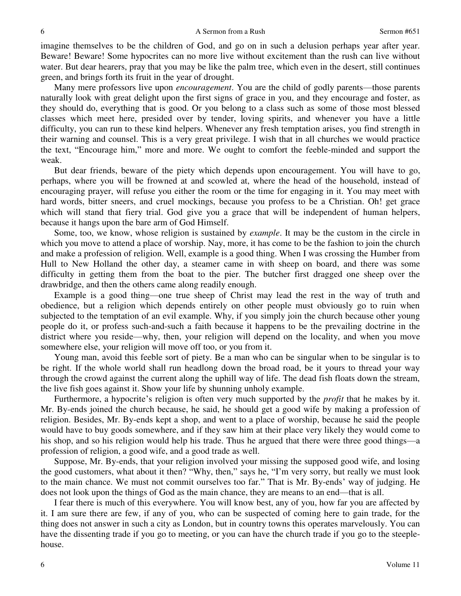imagine themselves to be the children of God, and go on in such a delusion perhaps year after year. Beware! Beware! Some hypocrites can no more live without excitement than the rush can live without water. But dear hearers, pray that you may be like the palm tree, which even in the desert, still continues green, and brings forth its fruit in the year of drought.

 Many mere professors live upon *encouragement*. You are the child of godly parents—those parents naturally look with great delight upon the first signs of grace in you, and they encourage and foster, as they should do, everything that is good. Or you belong to a class such as some of those most blessed classes which meet here, presided over by tender, loving spirits, and whenever you have a little difficulty, you can run to these kind helpers. Whenever any fresh temptation arises, you find strength in their warning and counsel. This is a very great privilege. I wish that in all churches we would practice the text, "Encourage him," more and more. We ought to comfort the feeble-minded and support the weak.

 But dear friends, beware of the piety which depends upon encouragement. You will have to go, perhaps, where you will be frowned at and scowled at, where the head of the household, instead of encouraging prayer, will refuse you either the room or the time for engaging in it. You may meet with hard words, bitter sneers, and cruel mockings, because you profess to be a Christian. Oh! get grace which will stand that fiery trial. God give you a grace that will be independent of human helpers, because it hangs upon the bare arm of God Himself.

 Some, too, we know, whose religion is sustained by *example*. It may be the custom in the circle in which you move to attend a place of worship. Nay, more, it has come to be the fashion to join the church and make a profession of religion. Well, example is a good thing. When I was crossing the Humber from Hull to New Holland the other day, a steamer came in with sheep on board, and there was some difficulty in getting them from the boat to the pier. The butcher first dragged one sheep over the drawbridge, and then the others came along readily enough.

 Example is a good thing—one true sheep of Christ may lead the rest in the way of truth and obedience, but a religion which depends entirely on other people must obviously go to ruin when subjected to the temptation of an evil example. Why, if you simply join the church because other young people do it, or profess such-and-such a faith because it happens to be the prevailing doctrine in the district where you reside—why, then, your religion will depend on the locality, and when you move somewhere else, your religion will move off too, or you from it.

 Young man, avoid this feeble sort of piety. Be a man who can be singular when to be singular is to be right. If the whole world shall run headlong down the broad road, be it yours to thread your way through the crowd against the current along the uphill way of life. The dead fish floats down the stream, the live fish goes against it. Show your life by shunning unholy example.

 Furthermore, a hypocrite's religion is often very much supported by the *profit* that he makes by it. Mr. By-ends joined the church because, he said, he should get a good wife by making a profession of religion. Besides, Mr. By-ends kept a shop, and went to a place of worship, because he said the people would have to buy goods somewhere, and if they saw him at their place very likely they would come to his shop, and so his religion would help his trade. Thus he argued that there were three good things—a profession of religion, a good wife, and a good trade as well.

 Suppose, Mr. By-ends, that your religion involved your missing the supposed good wife, and losing the good customers, what about it then? "Why, then," says he, "I'm very sorry, but really we must look to the main chance. We must not commit ourselves too far." That is Mr. By-ends' way of judging. He does not look upon the things of God as the main chance, they are means to an end—that is all.

 I fear there is much of this everywhere. You will know best, any of you, how far you are affected by it. I am sure there are few, if any of you, who can be suspected of coming here to gain trade, for the thing does not answer in such a city as London, but in country towns this operates marvelously. You can have the dissenting trade if you go to meeting, or you can have the church trade if you go to the steeplehouse.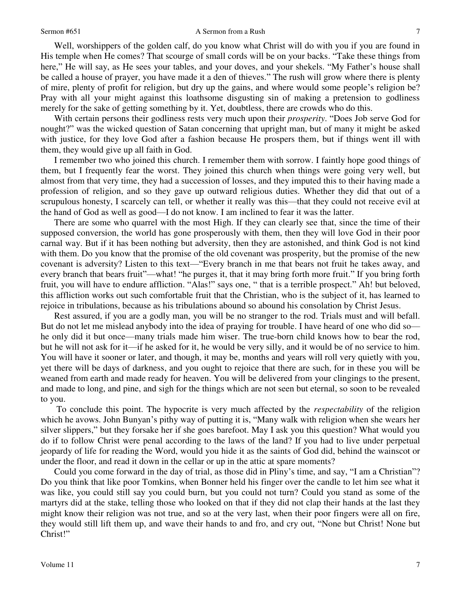Well, worshippers of the golden calf, do you know what Christ will do with you if you are found in His temple when He comes? That scourge of small cords will be on your backs. "Take these things from here," He will say, as He sees your tables, and your doves, and your shekels. "My Father's house shall be called a house of prayer, you have made it a den of thieves." The rush will grow where there is plenty of mire, plenty of profit for religion, but dry up the gains, and where would some people's religion be? Pray with all your might against this loathsome disgusting sin of making a pretension to godliness merely for the sake of getting something by it. Yet, doubtless, there are crowds who do this.

 With certain persons their godliness rests very much upon their *prosperity*. "Does Job serve God for nought?" was the wicked question of Satan concerning that upright man, but of many it might be asked with justice, for they love God after a fashion because He prospers them, but if things went ill with them, they would give up all faith in God.

 I remember two who joined this church. I remember them with sorrow. I faintly hope good things of them, but I frequently fear the worst. They joined this church when things were going very well, but almost from that very time, they had a succession of losses, and they imputed this to their having made a profession of religion, and so they gave up outward religious duties. Whether they did that out of a scrupulous honesty, I scarcely can tell, or whether it really was this—that they could not receive evil at the hand of God as well as good—I do not know. I am inclined to fear it was the latter.

 There are some who quarrel with the most High. If they can clearly see that, since the time of their supposed conversion, the world has gone prosperously with them, then they will love God in their poor carnal way. But if it has been nothing but adversity, then they are astonished, and think God is not kind with them. Do you know that the promise of the old covenant was prosperity, but the promise of the new covenant is adversity? Listen to this text—"Every branch in me that bears not fruit he takes away, and every branch that bears fruit"—what! "he purges it, that it may bring forth more fruit." If you bring forth fruit, you will have to endure affliction. "Alas!" says one, " that is a terrible prospect." Ah! but beloved, this affliction works out such comfortable fruit that the Christian, who is the subject of it, has learned to rejoice in tribulations, because as his tribulations abound so abound his consolation by Christ Jesus.

 Rest assured, if you are a godly man, you will be no stranger to the rod. Trials must and will befall. But do not let me mislead anybody into the idea of praying for trouble. I have heard of one who did so he only did it but once—many trials made him wiser. The true-born child knows how to bear the rod, but he will not ask for it—if he asked for it, he would be very silly, and it would be of no service to him. You will have it sooner or later, and though, it may be, months and years will roll very quietly with you, yet there will be days of darkness, and you ought to rejoice that there are such, for in these you will be weaned from earth and made ready for heaven. You will be delivered from your clingings to the present, and made to long, and pine, and sigh for the things which are not seen but eternal, so soon to be revealed to you.

 To conclude this point. The hypocrite is very much affected by the *respectability* of the religion which he avows. John Bunyan's pithy way of putting it is, "Many walk with religion when she wears her silver slippers," but they forsake her if she goes barefoot. May I ask you this question? What would you do if to follow Christ were penal according to the laws of the land? If you had to live under perpetual jeopardy of life for reading the Word, would you hide it as the saints of God did, behind the wainscot or under the floor, and read it down in the cellar or up in the attic at spare moments?

 Could you come forward in the day of trial, as those did in Pliny's time, and say, "I am a Christian"? Do you think that like poor Tomkins, when Bonner held his finger over the candle to let him see what it was like, you could still say you could burn, but you could not turn? Could you stand as some of the martyrs did at the stake, telling those who looked on that if they did not clap their hands at the last they might know their religion was not true, and so at the very last, when their poor fingers were all on fire, they would still lift them up, and wave their hands to and fro, and cry out, "None but Christ! None but Christ!"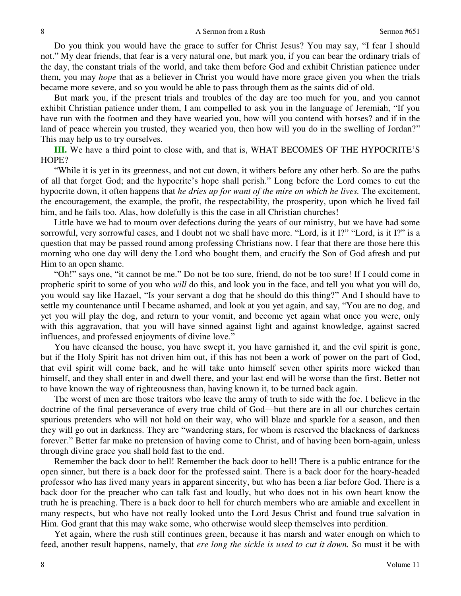Do you think you would have the grace to suffer for Christ Jesus? You may say, "I fear I should not." My dear friends, that fear is a very natural one, but mark you, if you can bear the ordinary trials of the day, the constant trials of the world, and take them before God and exhibit Christian patience under them, you may *hope* that as a believer in Christ you would have more grace given you when the trials became more severe, and so you would be able to pass through them as the saints did of old.

 But mark you, if the present trials and troubles of the day are too much for you, and you cannot exhibit Christian patience under them, I am compelled to ask you in the language of Jeremiah, "If you have run with the footmen and they have wearied you, how will you contend with horses? and if in the land of peace wherein you trusted, they wearied you, then how will you do in the swelling of Jordan?" This may help us to try ourselves.

**III.** We have a third point to close with, and that is, WHAT BECOMES OF THE HYPOCRITE'S HOPE?

"While it is yet in its greenness, and not cut down, it withers before any other herb. So are the paths of all that forget God; and the hypocrite's hope shall perish." Long before the Lord comes to cut the hypocrite down, it often happens that *he dries up for want of the mire on which he lives.* The excitement, the encouragement, the example, the profit, the respectability, the prosperity, upon which he lived fail him, and he fails too. Alas, how dolefully is this the case in all Christian churches!

 Little have we had to mourn over defections during the years of our ministry, but we have had some sorrowful, very sorrowful cases, and I doubt not we shall have more. "Lord, is it I?" "Lord, is it I?" is a question that may be passed round among professing Christians now. I fear that there are those here this morning who one day will deny the Lord who bought them, and crucify the Son of God afresh and put Him to an open shame.

"Oh!" says one, "it cannot be me." Do not be too sure, friend, do not be too sure! If I could come in prophetic spirit to some of you who *will* do this, and look you in the face, and tell you what you will do, you would say like Hazael, "Is your servant a dog that he should do this thing?" And I should have to settle my countenance until I became ashamed, and look at you yet again, and say, "You are no dog, and yet you will play the dog, and return to your vomit, and become yet again what once you were, only with this aggravation, that you will have sinned against light and against knowledge, against sacred influences, and professed enjoyments of divine love."

 You have cleansed the house, you have swept it, you have garnished it, and the evil spirit is gone, but if the Holy Spirit has not driven him out, if this has not been a work of power on the part of God, that evil spirit will come back, and he will take unto himself seven other spirits more wicked than himself, and they shall enter in and dwell there, and your last end will be worse than the first. Better not to have known the way of righteousness than, having known it, to be turned back again.

 The worst of men are those traitors who leave the army of truth to side with the foe. I believe in the doctrine of the final perseverance of every true child of God—but there are in all our churches certain spurious pretenders who will not hold on their way, who will blaze and sparkle for a season, and then they will go out in darkness. They are "wandering stars, for whom is reserved the blackness of darkness forever." Better far make no pretension of having come to Christ, and of having been born-again, unless through divine grace you shall hold fast to the end.

 Remember the back door to hell! Remember the back door to hell! There is a public entrance for the open sinner, but there is a back door for the professed saint. There is a back door for the hoary-headed professor who has lived many years in apparent sincerity, but who has been a liar before God. There is a back door for the preacher who can talk fast and loudly, but who does not in his own heart know the truth he is preaching. There is a back door to hell for church members who are amiable and excellent in many respects, but who have not really looked unto the Lord Jesus Christ and found true salvation in Him. God grant that this may wake some, who otherwise would sleep themselves into perdition.

 Yet again, where the rush still continues green, because it has marsh and water enough on which to feed, another result happens, namely, that *ere long the sickle is used to cut it down.* So must it be with

8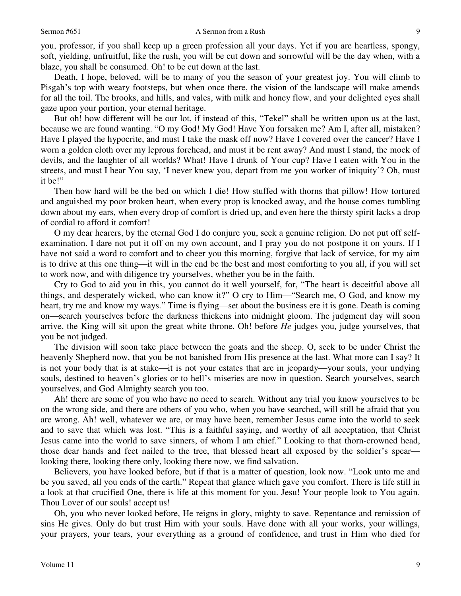you, professor, if you shall keep up a green profession all your days. Yet if you are heartless, spongy, soft, yielding, unfruitful, like the rush, you will be cut down and sorrowful will be the day when, with a blaze, you shall be consumed. Oh! to be cut down at the last.

 Death, I hope, beloved, will be to many of you the season of your greatest joy. You will climb to Pisgah's top with weary footsteps, but when once there, the vision of the landscape will make amends for all the toil. The brooks, and hills, and vales, with milk and honey flow, and your delighted eyes shall gaze upon your portion, your eternal heritage.

 But oh! how different will be our lot, if instead of this, "Tekel" shall be written upon us at the last, because we are found wanting. "O my God! My God! Have You forsaken me? Am I, after all, mistaken? Have I played the hypocrite, and must I take the mask off now? Have I covered over the cancer? Have I worn a golden cloth over my leprous forehead, and must it be rent away? And must I stand, the mock of devils, and the laughter of all worlds? What! Have I drunk of Your cup? Have I eaten with You in the streets, and must I hear You say, 'I never knew you, depart from me you worker of iniquity'? Oh, must it be!"

 Then how hard will be the bed on which I die! How stuffed with thorns that pillow! How tortured and anguished my poor broken heart, when every prop is knocked away, and the house comes tumbling down about my ears, when every drop of comfort is dried up, and even here the thirsty spirit lacks a drop of cordial to afford it comfort!

 O my dear hearers, by the eternal God I do conjure you, seek a genuine religion. Do not put off selfexamination. I dare not put it off on my own account, and I pray you do not postpone it on yours. If I have not said a word to comfort and to cheer you this morning, forgive that lack of service, for my aim is to drive at this one thing—it will in the end be the best and most comforting to you all, if you will set to work now, and with diligence try yourselves, whether you be in the faith.

 Cry to God to aid you in this, you cannot do it well yourself, for, "The heart is deceitful above all things, and desperately wicked, who can know it?" O cry to Him—"Search me, O God, and know my heart, try me and know my ways." Time is flying—set about the business ere it is gone. Death is coming on—search yourselves before the darkness thickens into midnight gloom. The judgment day will soon arrive, the King will sit upon the great white throne. Oh! before *He* judges you, judge yourselves, that you be not judged.

 The division will soon take place between the goats and the sheep. O, seek to be under Christ the heavenly Shepherd now, that you be not banished from His presence at the last. What more can I say? It is not your body that is at stake—it is not your estates that are in jeopardy—your souls, your undying souls, destined to heaven's glories or to hell's miseries are now in question. Search yourselves, search yourselves, and God Almighty search you too.

Ah! there are some of you who have no need to search. Without any trial you know yourselves to be on the wrong side, and there are others of you who, when you have searched, will still be afraid that you are wrong. Ah! well, whatever we are, or may have been, remember Jesus came into the world to seek and to save that which was lost. "This is a faithful saying, and worthy of all acceptation, that Christ Jesus came into the world to save sinners, of whom I am chief." Looking to that thorn-crowned head, those dear hands and feet nailed to the tree, that blessed heart all exposed by the soldier's spear looking there, looking there only, looking there now, we find salvation.

 Believers, you have looked before, but if that is a matter of question, look now. "Look unto me and be you saved, all you ends of the earth." Repeat that glance which gave you comfort. There is life still in a look at that crucified One, there is life at this moment for you. Jesu! Your people look to You again. Thou Lover of our souls! accept us!

 Oh, you who never looked before, He reigns in glory, mighty to save. Repentance and remission of sins He gives. Only do but trust Him with your souls. Have done with all your works, your willings, your prayers, your tears, your everything as a ground of confidence, and trust in Him who died for